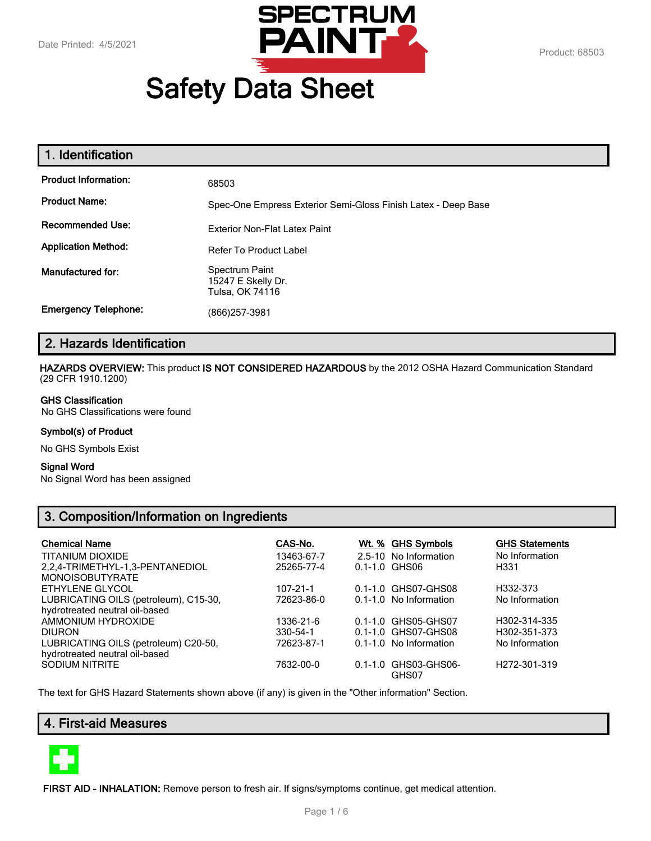

# **Safety Data Sheet**

| 1. Identification           |                                                               |
|-----------------------------|---------------------------------------------------------------|
| <b>Product Information:</b> | 68503                                                         |
| <b>Product Name:</b>        | Spec-One Empress Exterior Semi-Gloss Finish Latex - Deep Base |
| <b>Recommended Use:</b>     | <b>Exterior Non-Flat Latex Paint</b>                          |
| <b>Application Method:</b>  | <b>Refer To Product Label</b>                                 |
| Manufactured for:           | Spectrum Paint<br>15247 E Skelly Dr.<br>Tulsa, OK 74116       |
| <b>Emergency Telephone:</b> | (866) 257-3981                                                |

# **2. Hazards Identification**

**HAZARDS OVERVIEW:** This product **IS NOT CONSIDERED HAZARDOUS** by the 2012 OSHA Hazard Communication Standard (29 CFR 1910.1200)

#### **GHS Classification**

No GHS Classifications were found

#### **Symbol(s) of Product**

No GHS Symbols Exist

#### **Signal Word**

No Signal Word has been assigned

# **3. Composition/Information on Ingredients**

| <b>Chemical Name</b>                                                   | CAS-No.        | Wt. % GHS Symbols             | <b>GHS Statements</b>     |
|------------------------------------------------------------------------|----------------|-------------------------------|---------------------------|
| TITANIUM DIOXIDE                                                       | 13463-67-7     | 2.5-10 No Information         | No Information            |
| 2.2.4-TRIMETHYL-1.3-PENTANEDIOL                                        | 25265-77-4     | $0.1 - 1.0$ GHS06             | H331                      |
| <b>MONOISOBUTYRATE</b>                                                 |                |                               |                           |
| ETHYLENE GLYCOL                                                        | $107 - 21 - 1$ | 0.1-1.0 GHS07-GHS08           | H332-373                  |
| LUBRICATING OILS (petroleum), C15-30,                                  | 72623-86-0     | 0.1-1.0 No Information        | No Information            |
| hydrotreated neutral oil-based                                         |                |                               |                           |
| AMMONIUM HYDROXIDE                                                     | 1336-21-6      | 0.1-1.0 GHS05-GHS07           | H302-314-335              |
| <b>DIURON</b>                                                          | 330-54-1       | 0.1-1.0 GHS07-GHS08           | H302-351-373              |
| LUBRICATING OILS (petroleum) C20-50,<br>hydrotreated neutral oil-based | 72623-87-1     | 0.1-1.0 No Information        | No Information            |
| SODIUM NITRITE                                                         | 7632-00-0      | 0.1-1.0 GHS03-GHS06-<br>GHS07 | H <sub>272</sub> -301-319 |

The text for GHS Hazard Statements shown above (if any) is given in the "Other information" Section.

# **4. First-aid Measures**



**FIRST AID - INHALATION:** Remove person to fresh air. If signs/symptoms continue, get medical attention.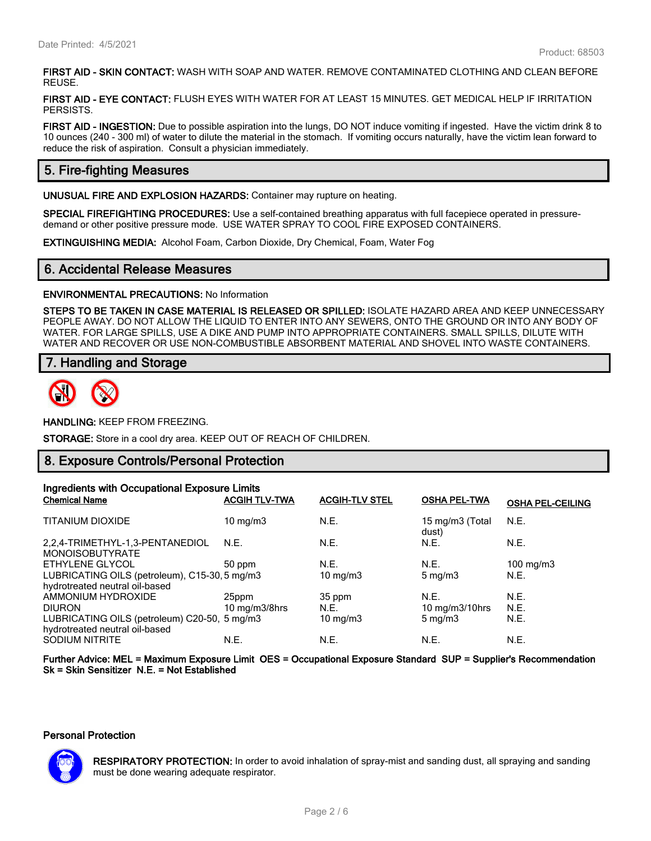**FIRST AID - SKIN CONTACT:** WASH WITH SOAP AND WATER. REMOVE CONTAMINATED CLOTHING AND CLEAN BEFORE REUSE.

**FIRST AID - EYE CONTACT:** FLUSH EYES WITH WATER FOR AT LEAST 15 MINUTES. GET MEDICAL HELP IF IRRITATION PERSISTS.

**FIRST AID - INGESTION:** Due to possible aspiration into the lungs, DO NOT induce vomiting if ingested. Have the victim drink 8 to 10 ounces (240 - 300 ml) of water to dilute the material in the stomach. If vomiting occurs naturally, have the victim lean forward to reduce the risk of aspiration. Consult a physician immediately.

# **5. Fire-fighting Measures**

**UNUSUAL FIRE AND EXPLOSION HAZARDS:** Container may rupture on heating.

**SPECIAL FIREFIGHTING PROCEDURES:** Use a self-contained breathing apparatus with full facepiece operated in pressuredemand or other positive pressure mode. USE WATER SPRAY TO COOL FIRE EXPOSED CONTAINERS.

**EXTINGUISHING MEDIA:** Alcohol Foam, Carbon Dioxide, Dry Chemical, Foam, Water Fog

#### **6. Accidental Release Measures**

**ENVIRONMENTAL PRECAUTIONS:** No Information

**STEPS TO BE TAKEN IN CASE MATERIAL IS RELEASED OR SPILLED:** ISOLATE HAZARD AREA AND KEEP UNNECESSARY PEOPLE AWAY. DO NOT ALLOW THE LIQUID TO ENTER INTO ANY SEWERS, ONTO THE GROUND OR INTO ANY BODY OF WATER. FOR LARGE SPILLS, USE A DIKE AND PUMP INTO APPROPRIATE CONTAINERS. SMALL SPILLS, DILUTE WITH WATER AND RECOVER OR USE NON-COMBUSTIBLE ABSORBENT MATERIAL AND SHOVEL INTO WASTE CONTAINERS.

## **7. Handling and Storage**



**HANDLING:** KEEP FROM FREEZING.

**STORAGE:** Store in a cool dry area. KEEP OUT OF REACH OF CHILDREN.

#### **8. Exposure Controls/Personal Protection**

| Ingredients with Occupational Exposure Limits                                   |                      |                       |                          |                         |
|---------------------------------------------------------------------------------|----------------------|-----------------------|--------------------------|-------------------------|
| <b>Chemical Name</b>                                                            | <b>ACGIH TLV-TWA</b> | <b>ACGIH-TLV STEL</b> | <b>OSHA PEL-TWA</b>      | <b>OSHA PEL-CEILING</b> |
| <b>TITANIUM DIOXIDE</b>                                                         | 10 mg/m $3$          | N.E.                  | 15 mg/m3 (Total<br>dust) | N.E.                    |
| 2.2.4-TRIMETHYL-1.3-PENTANEDIOL<br><b>MONOISOBUTYRATE</b>                       | N.E.                 | N.E.                  | N.E.                     | N.E.                    |
| ETHYLENE GLYCOL                                                                 | 50 ppm               | N.E.                  | N.E.                     | 100 mg/m $3$            |
| LUBRICATING OILS (petroleum), C15-30, 5 mg/m3<br>hydrotreated neutral oil-based |                      | $10 \text{ mg/m}$     | $5 \text{ mg/m}$         | N.E.                    |
| AMMONIUM HYDROXIDE                                                              | 25ppm                | 35 ppm                | N.E.                     | N.E.                    |
| <b>DIURON</b>                                                                   | 10 mg/m $3/8$ hrs    | N.E.                  | 10 mg/m $3/10$ hrs       | N.E.                    |
| LUBRICATING OILS (petroleum) C20-50, 5 mg/m3<br>hydrotreated neutral oil-based  |                      | 10 mg/m $3$           | $5 \text{ mg/m}$         | N.E.                    |
| <b>SODIUM NITRITE</b>                                                           | N.E.                 | N.E.                  | N.E.                     | N.E.                    |

**Further Advice: MEL = Maximum Exposure Limit OES = Occupational Exposure Standard SUP = Supplier's Recommendation Sk = Skin Sensitizer N.E. = Not Established**

#### **Personal Protection**



**RESPIRATORY PROTECTION:** In order to avoid inhalation of spray-mist and sanding dust, all spraying and sanding must be done wearing adequate respirator.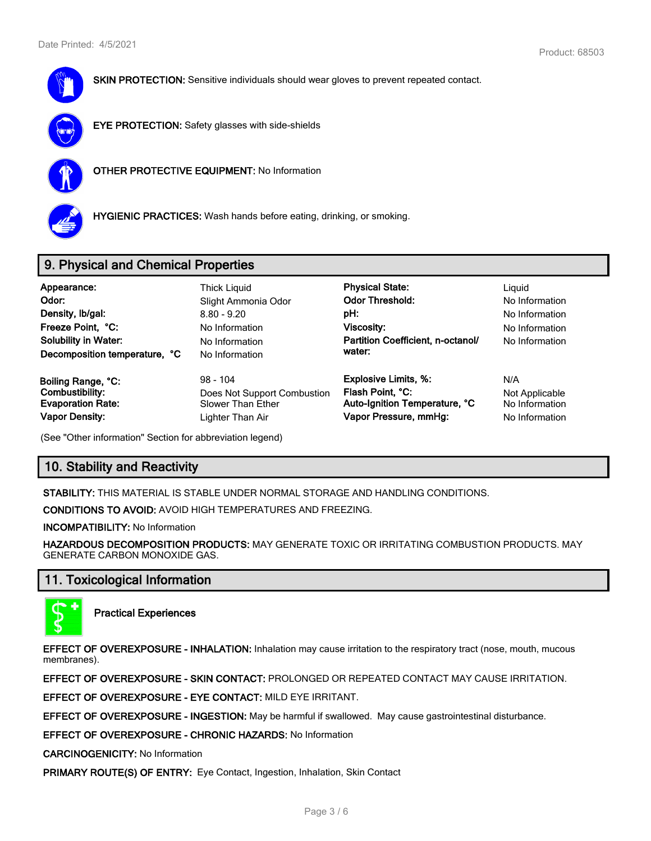

**SKIN PROTECTION:** Sensitive individuals should wear gloves to prevent repeated contact.



**EYE PROTECTION:** Safety glasses with side-shields



**OTHER PROTECTIVE EQUIPMENT:** No Information



**HYGIENIC PRACTICES:** Wash hands before eating, drinking, or smoking.

# **9. Physical and Chemical Properties**

| Appearance:<br>Odor:<br>Density, Ib/gal:<br>Freeze Point, °C:<br><b>Solubility in Water:</b><br>Decomposition temperature, °C | Thick Liguid<br>Slight Ammonia Odor<br>$8.80 - 9.20$<br>No Information<br>No Information<br>No Information | <b>Physical State:</b><br><b>Odor Threshold:</b><br>pH:<br>Viscosity:<br>Partition Coefficient, n-octanol/<br>water: | Liguid<br>No Information<br>No Information<br>No Information<br>No Information |
|-------------------------------------------------------------------------------------------------------------------------------|------------------------------------------------------------------------------------------------------------|----------------------------------------------------------------------------------------------------------------------|--------------------------------------------------------------------------------|
| Boiling Range, °C:                                                                                                            | $98 - 104$                                                                                                 | <b>Explosive Limits, %:</b>                                                                                          | N/A                                                                            |
| Combustibility:                                                                                                               | Does Not Support Combustion                                                                                | Flash Point, °C:                                                                                                     | Not Applicable                                                                 |
| <b>Evaporation Rate:</b>                                                                                                      | Slower Than Ether                                                                                          | Auto-Ignition Temperature, °C                                                                                        | No Information                                                                 |
| <b>Vapor Density:</b>                                                                                                         | Lighter Than Air                                                                                           | Vapor Pressure, mmHg:                                                                                                | No Information                                                                 |

(See "Other information" Section for abbreviation legend)

# **10. Stability and Reactivity**

**STABILITY:** THIS MATERIAL IS STABLE UNDER NORMAL STORAGE AND HANDLING CONDITIONS.

**CONDITIONS TO AVOID:** AVOID HIGH TEMPERATURES AND FREEZING.

**INCOMPATIBILITY:** No Information

**HAZARDOUS DECOMPOSITION PRODUCTS:** MAY GENERATE TOXIC OR IRRITATING COMBUSTION PRODUCTS. MAY GENERATE CARBON MONOXIDE GAS.

# **11. Toxicological Information**



**Practical Experiences**

**EFFECT OF OVEREXPOSURE - INHALATION:** Inhalation may cause irritation to the respiratory tract (nose, mouth, mucous membranes).

**EFFECT OF OVEREXPOSURE - SKIN CONTACT:** PROLONGED OR REPEATED CONTACT MAY CAUSE IRRITATION.

**EFFECT OF OVEREXPOSURE - EYE CONTACT:** MILD EYE IRRITANT.

**EFFECT OF OVEREXPOSURE - INGESTION:** May be harmful if swallowed. May cause gastrointestinal disturbance.

**EFFECT OF OVEREXPOSURE - CHRONIC HAZARDS:** No Information

**CARCINOGENICITY:** No Information

**PRIMARY ROUTE(S) OF ENTRY:** Eye Contact, Ingestion, Inhalation, Skin Contact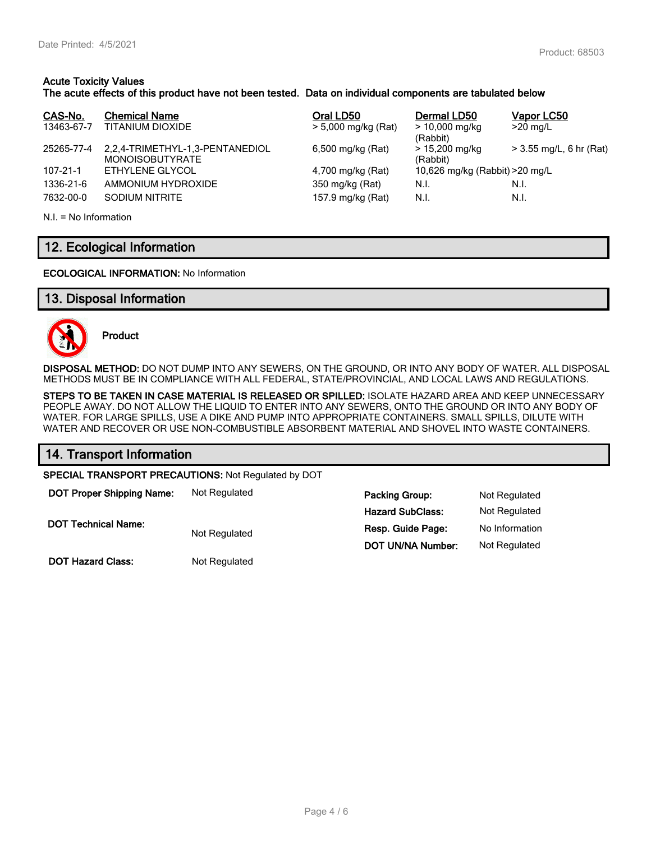## **Acute Toxicity Values**

## **The acute effects of this product have not been tested. Data on individual components are tabulated below**

| CAS-No.<br>13463-67-7 | <b>Chemical Name</b><br>TITANIUM DIOXIDE                  | Oral LD50<br>$> 5,000$ mg/kg (Rat) | Dermal LD50<br>$> 10,000$ mg/kg<br>(Rabbit) | Vapor LC50<br>$>20$ mg/L  |
|-----------------------|-----------------------------------------------------------|------------------------------------|---------------------------------------------|---------------------------|
| 25265-77-4            | 2,2,4-TRIMETHYL-1,3-PENTANEDIOL<br><b>MONOISOBUTYRATE</b> | 6,500 mg/kg (Rat)                  | > 15,200 mg/kg<br>(Rabbit)                  | $>$ 3.55 mg/L, 6 hr (Rat) |
| $107 - 21 - 1$        | ETHYLENE GLYCOL                                           | 4,700 mg/kg (Rat)                  | 10,626 mg/kg (Rabbit) > 20 mg/L             |                           |
| 1336-21-6             | AMMONIUM HYDROXIDE                                        | 350 mg/kg (Rat)                    | N.I.                                        | N.I.                      |
| 7632-00-0             | SODIUM NITRITE                                            | 157.9 mg/kg (Rat)                  | N.I.                                        | N.I.                      |

N.I. = No Information

# **12. Ecological Information**

#### **ECOLOGICAL INFORMATION:** No Information

## **13. Disposal Information**



**Product**

**DISPOSAL METHOD:** DO NOT DUMP INTO ANY SEWERS, ON THE GROUND, OR INTO ANY BODY OF WATER. ALL DISPOSAL METHODS MUST BE IN COMPLIANCE WITH ALL FEDERAL, STATE/PROVINCIAL, AND LOCAL LAWS AND REGULATIONS.

**STEPS TO BE TAKEN IN CASE MATERIAL IS RELEASED OR SPILLED:** ISOLATE HAZARD AREA AND KEEP UNNECESSARY PEOPLE AWAY. DO NOT ALLOW THE LIQUID TO ENTER INTO ANY SEWERS, ONTO THE GROUND OR INTO ANY BODY OF WATER. FOR LARGE SPILLS, USE A DIKE AND PUMP INTO APPROPRIATE CONTAINERS. SMALL SPILLS, DILUTE WITH WATER AND RECOVER OR USE NON-COMBUSTIBLE ABSORBENT MATERIAL AND SHOVEL INTO WASTE CONTAINERS.

| 14. Transport Information                           |               |                          |                |  |
|-----------------------------------------------------|---------------|--------------------------|----------------|--|
| SPECIAL TRANSPORT PRECAUTIONS: Not Regulated by DOT |               |                          |                |  |
| <b>DOT Proper Shipping Name:</b>                    | Not Regulated | <b>Packing Group:</b>    | Not Regulated  |  |
|                                                     |               | <b>Hazard SubClass:</b>  | Not Regulated  |  |
| <b>DOT Technical Name:</b>                          | Not Regulated | Resp. Guide Page:        | No Information |  |
|                                                     |               | <b>DOT UN/NA Number:</b> | Not Regulated  |  |

**DOT Hazard Class:** Not Regulated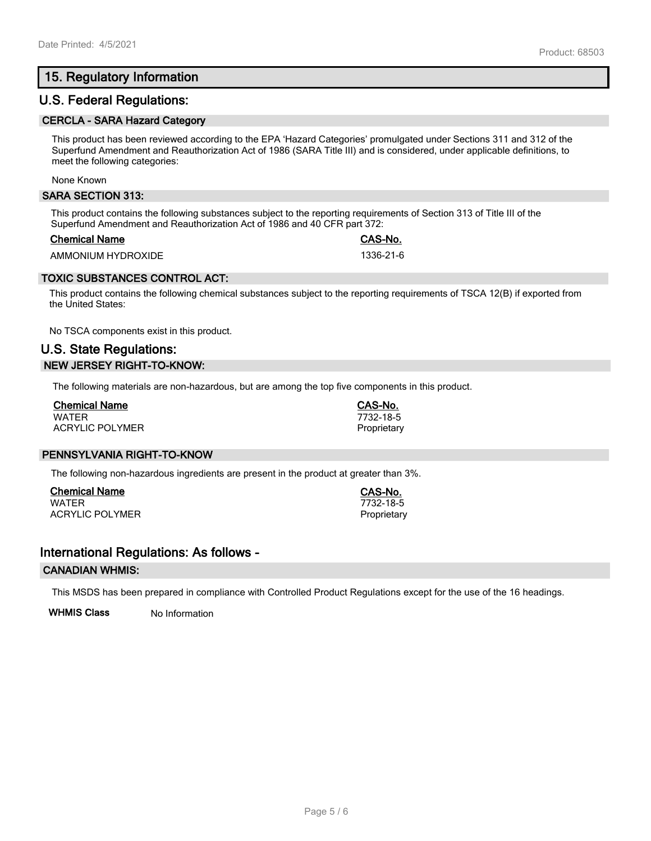# **15. Regulatory Information**

## **U.S. Federal Regulations:**

#### **CERCLA - SARA Hazard Category**

This product has been reviewed according to the EPA 'Hazard Categories' promulgated under Sections 311 and 312 of the Superfund Amendment and Reauthorization Act of 1986 (SARA Title III) and is considered, under applicable definitions, to meet the following categories:

None Known

#### **SARA SECTION 313:**

This product contains the following substances subject to the reporting requirements of Section 313 of Title III of the Superfund Amendment and Reauthorization Act of 1986 and 40 CFR part 372:

#### **Chemical Name CAS-No.**

AMMONIUM HYDROXIDE 1336-21-6

## **TOXIC SUBSTANCES CONTROL ACT:**

This product contains the following chemical substances subject to the reporting requirements of TSCA 12(B) if exported from the United States:

No TSCA components exist in this product.

# **U.S. State Regulations: NEW JERSEY RIGHT-TO-KNOW:**

The following materials are non-hazardous, but are among the top five components in this product.

| <b>Chemical Name</b>   |  |
|------------------------|--|
| <b>WATFR</b>           |  |
| <b>ACRYLIC POLYMER</b> |  |

## **PENNSYLVANIA RIGHT-TO-KNOW**

The following non-hazardous ingredients are present in the product at greater than 3%.

**Chemical Name CAS-No.** ACRYLIC POLYMER **Proprietary** Proprietary

## **International Regulations: As follows -**

#### **CANADIAN WHMIS:**

This MSDS has been prepared in compliance with Controlled Product Regulations except for the use of the 16 headings.

**WHMIS Class** No Information

WATER 7732-18-5

**Chemical Name CAS-No.** WATER 7732-18-5 Proprietary